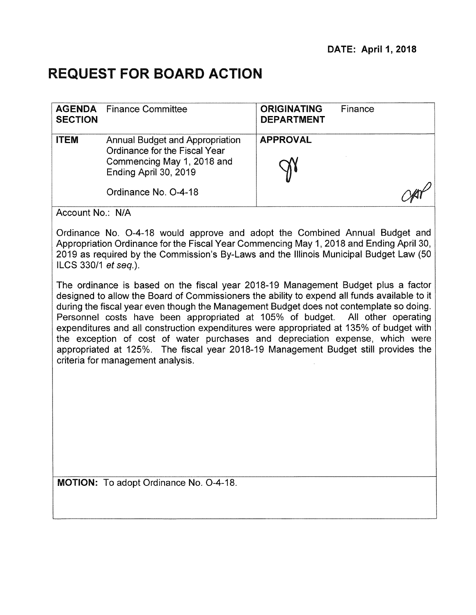# **REQUEST FOR BOARD ACTION**

| <b>SECTION</b> | <b>AGENDA</b> Finance Committee                                                                                                                 | <b>ORIGINATING</b><br><b>DEPARTMENT</b> | Finance |
|----------------|-------------------------------------------------------------------------------------------------------------------------------------------------|-----------------------------------------|---------|
| <b>ITEM</b>    | Annual Budget and Appropriation<br>Ordinance for the Fiscal Year<br>Commencing May 1, 2018 and<br>Ending April 30, 2019<br>Ordinance No. O-4-18 | <b>APPROVAL</b>                         | 40<     |
|                |                                                                                                                                                 |                                         |         |

Account No.: N/A

Ordinance No. 0-4-18 would approve and adopt the Combined Annual Budget and Appropriation Ordinance for the Fiscal Year Commencing May 1, 2018 and Ending April 30, 2019 as required by the Commission's By-Laws and the Illinois Municipal Budget Law (50 ILCS 330/1  $etseq$ .).

The ordinance is based on the fiscal year 2018-19 Management Budget plus a factor designed to allow the Board of Commissioners the ability to expend all funds available to it during the fiscal year even though the Management Budget does not contemplate so doing. Personnel costs have been appropriated at 105% of budget. All other operating expenditures and all construction expenditures were appropriated at 135% of budget with the exception of cost of water purchases and depreciation expense, which were appropriated at 125%. The fiscal year 2018-19 Management Budget still provides the criteria for management analysis.

MOTION: To adopt Ordinance No. 0-4-18.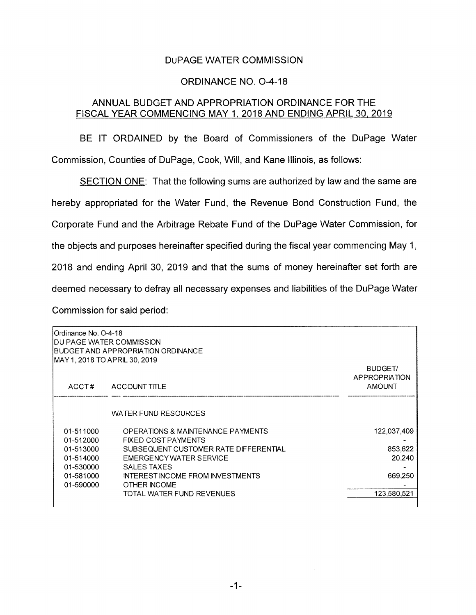# DuPAGE WATER COMMISSION

#### ORDINANCE NO. O-4-18

# ANNUAL BUDGET AND APPROPRIATION ORDINANCE FOR THE FISCAL YEAR COMMENCING MAY 1, 2018 AND ENDING APRIL 30, 2019

BE IT ORDAINED by the Board of Commissioners of the DuPage Water Commission, Counties of DuPage, Cook, Will, and Kane Illinois, as follows:

SECTION ONE: That the following sums are authorized by law and the same are hereby appropriated for the Water Fund, the Revenue Bond Construction Fund, the Corporate Fund and the Arbitrage Rebate Fund of the DuPage Water Commission, for the objects and purposes hereinafter specified during the fiscal year commencing May 1, 2018 and ending April 30, 2019 and that the sums of money hereinafter set forth are deemed necessary to defray all necessary expenses and liabilities of the DuPage Water Commission for said period:

| Ordinance No. O-4-18                   | IDU PAGE WATER COMMISSION<br>IBUDGET AND APPROPRIATION ORDINANCE |                                           |
|----------------------------------------|------------------------------------------------------------------|-------------------------------------------|
| MAY 1, 2018 TO APRIL 30, 2019<br>ACCT# | <b>ACCOUNT TITLE</b>                                             | BUDGET/<br>APPROPRIATION<br><b>AMOUNT</b> |
|                                        | WATER FUND RESOURCES                                             |                                           |
| 01-511000<br>01-512000                 | OPERATIONS & MAINTENANCE PAYMENTS<br><b>FIXED COST PAYMENTS</b>  | 122,037,409                               |
| 01-513000                              | SUBSEQUENT CUSTOMER RATE DIFFERENTIAL                            | 853,622                                   |
| 01-514000                              | EMERGENCY WATER SERVICE                                          | 20,240                                    |
| 01-530000                              | SALES TAXES                                                      |                                           |
| 01-581000                              | <b>INTEREST INCOME FROM INVESTMENTS</b>                          | 669,250                                   |
| 01-590000                              | OTHER INCOME                                                     |                                           |
|                                        | TOTAL WATER FUND REVENUES                                        | 123,580,521                               |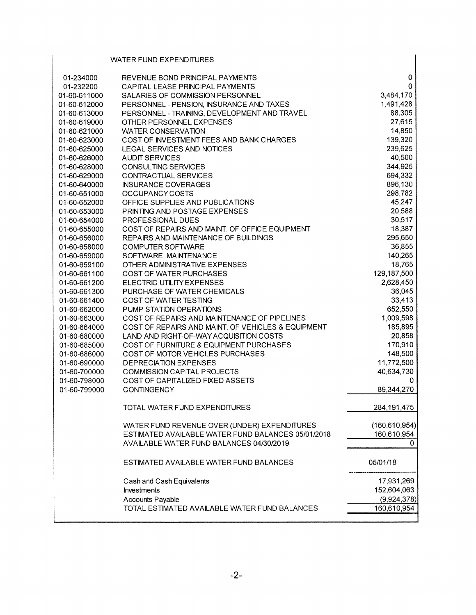| <b>WATER FUND EXPENDITURES</b> |                                                    |                 |
|--------------------------------|----------------------------------------------------|-----------------|
| 01-234000                      | REVENUE BOND PRINCIPAL PAYMENTS                    | 0               |
| 01-232200                      | CAPITAL LEASE PRINCIPAL PAYMENTS                   | 0               |
| 01-60-611000                   | SALARIES OF COMMISSION PERSONNEL                   | 3,484,170       |
| 01-60-612000                   | PERSONNEL - PENSION, INSURANCE AND TAXES           | 1,491,428       |
| 01-60-613000                   | PERSONNEL - TRAINING, DEVELOPMENT AND TRAVEL       | 88,305          |
| 01-60-619000                   | OTHER PERSONNEL EXPENSES                           | 27,615          |
| 01-60-621000                   | <b>WATER CONSERVATION</b>                          | 14,850          |
| 01-60-623000                   | COST OF INVESTMENT FEES AND BANK CHARGES           | 139,320         |
| 01-60-625000                   | LEGAL SERVICES AND NOTICES                         | 239,625         |
| 01-60-626000                   | <b>AUDIT SERVICES</b>                              | 40,500          |
| 01-60-628000                   | <b>CONSULTING SERVICES</b>                         | 344,925         |
| 01-60-629000                   | CONTRACTUAL SERVICES                               | 694,332         |
| 01-60-640000                   | <b>INSURANCE COVERAGES</b>                         | 896,130         |
| 01-60-651000                   | OCCUPANCY COSTS                                    | 298,782         |
| 01-60-652000                   | OFFICE SUPPLIES AND PUBLICATIONS                   | 45,247          |
| 01-60-653000                   | <b>PRINTING AND POSTAGE EXPENSES</b>               | 20,588          |
| 01-60-654000                   | PROFESSIONAL DUES                                  | 30,517          |
| 01-60-655000                   | COST OF REPAIRS AND MAINT. OF OFFICE EQUIPMENT     | 18,387          |
| 01-60-656000                   | REPAIRS AND MAINTENANCE OF BUILDINGS               | 295,650         |
| 01-60-658000                   | <b>COMPUTER SOFTWARE</b>                           | 36,855          |
| 01-60-659000                   | SOFTWARE MAINTENANCE                               | 140,265         |
| 01-60-659100                   | OTHER ADMINISTRATIVE EXPENSES                      | 18,765          |
| 01-60-661100                   | <b>COST OF WATER PURCHASES</b>                     | 129,187,500     |
| 01-60-661200                   | ELECTRIC UTILITY EXPENSES                          | 2,628,450       |
| 01-60-661300                   | PURCHASE OF WATER CHEMICALS                        | 36,045          |
| 01-60-661400                   | COST OF WATER TESTING                              | 33,413          |
| 01-60-662000                   | PUMP STATION OPERATIONS                            | 652,550         |
| 01-60-663000                   | COST OF REPAIRS AND MAINTENANCE OF PIPELINES       | 1,009,598       |
| 01-60-664000                   | COST OF REPAIRS AND MAINT. OF VEHICLES & EQUIPMENT | 185,895         |
| 01-60-680000                   | LAND AND RIGHT-OF-WAY ACQUISITION COSTS            | 20,858          |
| 01-60-685000                   | COST OF FURNITURE & EQUIPMENT PURCHASES            | 170,910         |
| 01-60-686000                   | COST OF MOTOR VEHICLES PURCHASES                   | 148,500         |
| 01-60-690000                   | DEPRECIATION EXPENSES                              | 11,772,500      |
| 01-60-700000                   | <b>COMMISSION CAPITAL PROJECTS</b>                 | 40,634,730      |
| 01-60-798000                   | <b>COST OF CAPITALIZED FIXED ASSETS</b>            | 0               |
| 01-60-799000                   | <b>CONTINGENCY</b>                                 | 89,344,270      |
|                                | TOTAL WATER FUND EXPENDITURES                      | 284, 191, 475   |
|                                |                                                    |                 |
|                                | WATER FUND REVENUE OVER (UNDER) EXPENDITURES       | (160, 610, 954) |
|                                | ESTIMATED AVAILABLE WATER FUND BALANCES 05/01/2018 | 160,610,954     |
|                                | AVAILABLE WATER FUND BALANCES 04/30/2019           | 0               |
|                                | ESTIMATED AVAILABLE WATER FUND BALANCES            | 05/01/18        |
|                                | Cash and Cash Equivalents                          | 17,931,269      |
|                                | Investments                                        | 152,604,063     |
|                                | <b>Accounts Payable</b>                            | (9,924,378)     |
|                                | TOTAL ESTIMATED AVAILABLE WATER FUND BALANCES      | 160,610,954     |
|                                |                                                    |                 |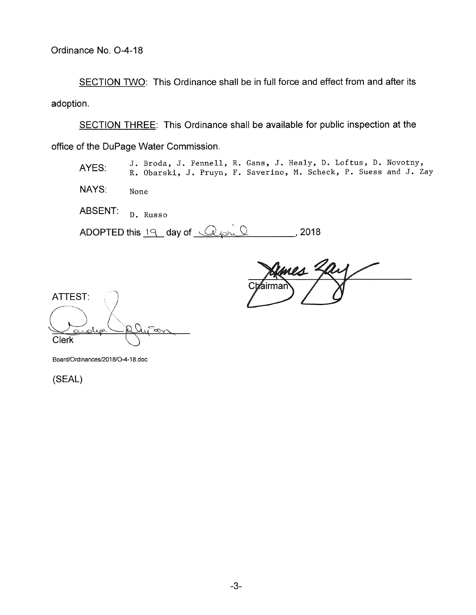SECTION TWO: This Ordinance shall be in full force and effect from and after its adoption.

SECTION THREE: This Ordinance shall be available for public inspection at the office of the DuPage Water Commission.

AYES: J. Broda, J. Fennell, R. Gans, J. Healy, D. Loftus, D. Novotny,<br>R. Obarski, J. Pruyn, F. Saverino, M. Scheck, P. Suess and J. Zay

NAYS: None

ABSENT: D. Russo

ADOPTED this  $19$  day of  $\mathcal{Q}_{\varphi\vee\varphi}$  2018

mes 2 Chairmar

ATTEST: Clerk سياص

Board/Ordinances/2018/0-4-18.doc

(SEAL)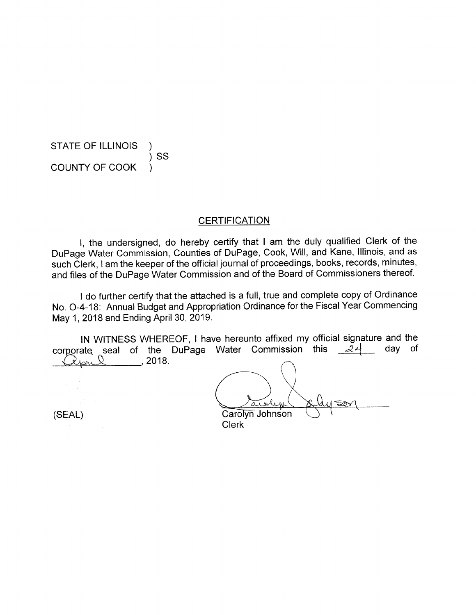STATE OF ILLINOIS  $)$  SS COUNTY OF COOK )

**CERTIFICATION** 

I, the undersigned, do hereby certify that I am the duly qualified Clerk of the DuPage Water Commission, Counties of DuPage, Cook, Will, and Kane, Illinois, and as such Clerk, I am the keeper of the official journal of proceedings, books, records, minutes, and files of the DuPage Water Commission and of the Board of Commissioners thereof.

I do further certify that the attached is a full, true and complete copy of Ordinance No. 0-4-18: Annual Budget and Appropriation Ordinance for the Fiscal Year Commencing May 1, 2018 and Ending April 30, 2019.

IN WITNESS WHEREOF, I have hereunto affixed my official signature and the corporate seal of the DuPage Water Commission this  $24$  day of 2018.

(SEAL)

Carolyn Johnson Clerk